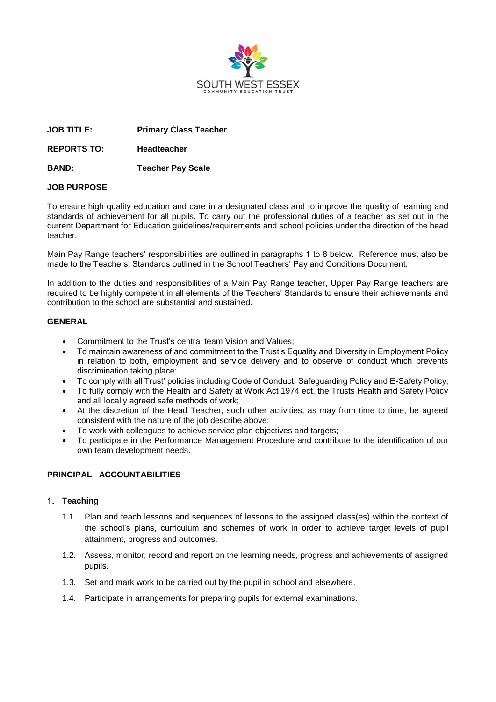

**JOB TITLE: Primary Class Teacher**

**REPORTS TO: Headteacher**

**BAND: Teacher Pay Scale**

# **JOB PURPOSE**

To ensure high quality education and care in a designated class and to improve the quality of learning and standards of achievement for all pupils. To carry out the professional duties of a teacher as set out in the current Department for Education guidelines/requirements and school policies under the direction of the head teacher.

Main Pay Range teachers' responsibilities are outlined in paragraphs 1 to 8 below. Reference must also be made to the Teachers' Standards outlined in the School Teachers' Pay and Conditions Document.

In addition to the duties and responsibilities of a Main Pay Range teacher, Upper Pay Range teachers are required to be highly competent in all elements of the Teachers' Standards to ensure their achievements and contribution to the school are substantial and sustained.

# **GENERAL**

- Commitment to the Trust's central team Vision and Values;
- To maintain awareness of and commitment to the Trust's Equality and Diversity in Employment Policy in relation to both, employment and service delivery and to observe of conduct which prevents discrimination taking place;
- To comply with all Trust' policies including Code of Conduct, Safeguarding Policy and E-Safety Policy;
- To fully comply with the Health and Safety at Work Act 1974 ect, the Trusts Health and Safety Policy and all locally agreed safe methods of work;
- At the discretion of the Head Teacher, such other activities, as may from time to time, be agreed consistent with the nature of the job describe above;
- To work with colleagues to achieve service plan objectives and targets;
- To participate in the Performance Management Procedure and contribute to the identification of our own team development needs.

# **PRINCIPAL ACCOUNTABILITIES**

# **Teaching**

- 1.1. Plan and teach lessons and sequences of lessons to the assigned class(es) within the context of the school's plans, curriculum and schemes of work in order to achieve target levels of pupil attainment, progress and outcomes.
- 1.2. Assess, monitor, record and report on the learning needs, progress and achievements of assigned pupils.
- 1.3. Set and mark work to be carried out by the pupil in school and elsewhere.
- 1.4. Participate in arrangements for preparing pupils for external examinations.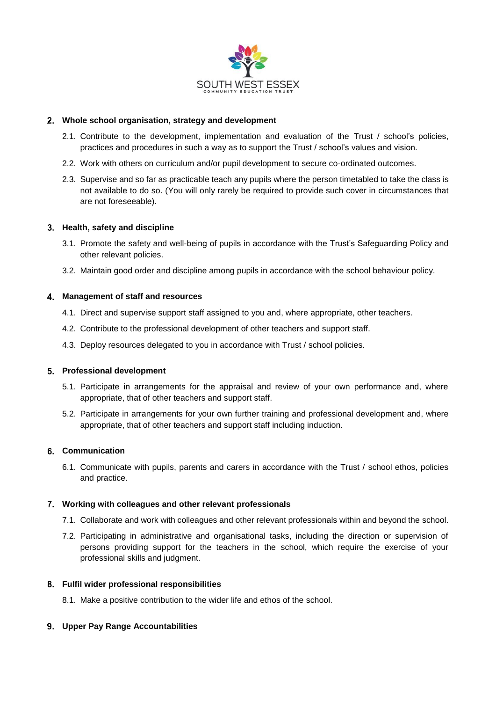

# **Whole school organisation, strategy and development**

- 2.1. Contribute to the development, implementation and evaluation of the Trust / school's policies, practices and procedures in such a way as to support the Trust / school's values and vision.
- 2.2. Work with others on curriculum and/or pupil development to secure co-ordinated outcomes.
- 2.3. Supervise and so far as practicable teach any pupils where the person timetabled to take the class is not available to do so. (You will only rarely be required to provide such cover in circumstances that are not foreseeable).

### **Health, safety and discipline**

- 3.1. Promote the safety and well-being of pupils in accordance with the Trust's Safeguarding Policy and other relevant policies.
- 3.2. Maintain good order and discipline among pupils in accordance with the school behaviour policy.

### **Management of staff and resources**

- 4.1. Direct and supervise support staff assigned to you and, where appropriate, other teachers.
- 4.2. Contribute to the professional development of other teachers and support staff.
- 4.3. Deploy resources delegated to you in accordance with Trust / school policies.

### **Professional development**

- 5.1. Participate in arrangements for the appraisal and review of your own performance and, where appropriate, that of other teachers and support staff.
- 5.2. Participate in arrangements for your own further training and professional development and, where appropriate, that of other teachers and support staff including induction.

# **Communication**

6.1. Communicate with pupils, parents and carers in accordance with the Trust / school ethos, policies and practice.

#### **Working with colleagues and other relevant professionals**

- 7.1. Collaborate and work with colleagues and other relevant professionals within and beyond the school.
- 7.2. Participating in administrative and organisational tasks, including the direction or supervision of persons providing support for the teachers in the school, which require the exercise of your professional skills and judgment.

#### **Fulfil wider professional responsibilities**

8.1. Make a positive contribution to the wider life and ethos of the school.

# **Upper Pay Range Accountabilities**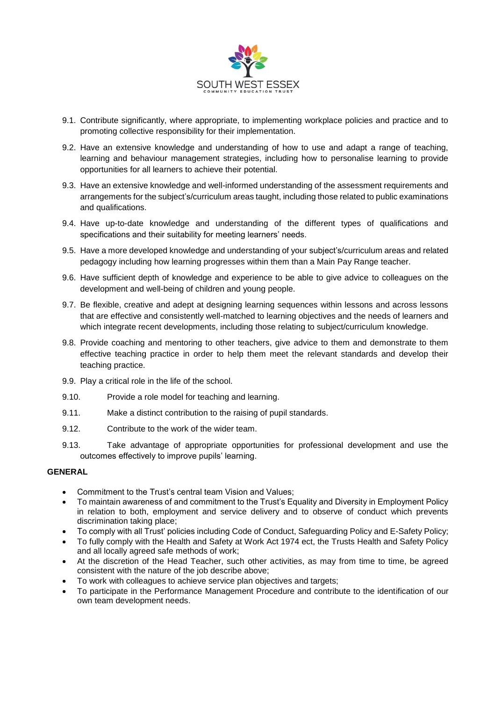

- 9.1. Contribute significantly, where appropriate, to implementing workplace policies and practice and to promoting collective responsibility for their implementation.
- 9.2. Have an extensive knowledge and understanding of how to use and adapt a range of teaching, learning and behaviour management strategies, including how to personalise learning to provide opportunities for all learners to achieve their potential.
- 9.3. Have an extensive knowledge and well-informed understanding of the assessment requirements and arrangements for the subject's/curriculum areas taught, including those related to public examinations and qualifications.
- 9.4. Have up-to-date knowledge and understanding of the different types of qualifications and specifications and their suitability for meeting learners' needs.
- 9.5. Have a more developed knowledge and understanding of your subject's/curriculum areas and related pedagogy including how learning progresses within them than a Main Pay Range teacher.
- 9.6. Have sufficient depth of knowledge and experience to be able to give advice to colleagues on the development and well-being of children and young people.
- 9.7. Be flexible, creative and adept at designing learning sequences within lessons and across lessons that are effective and consistently well-matched to learning objectives and the needs of learners and which integrate recent developments, including those relating to subject/curriculum knowledge.
- 9.8. Provide coaching and mentoring to other teachers, give advice to them and demonstrate to them effective teaching practice in order to help them meet the relevant standards and develop their teaching practice.
- 9.9. Play a critical role in the life of the school.
- 9.10. Provide a role model for teaching and learning.
- 9.11. Make a distinct contribution to the raising of pupil standards.
- 9.12. Contribute to the work of the wider team.
- 9.13. Take advantage of appropriate opportunities for professional development and use the outcomes effectively to improve pupils' learning.

# **GENERAL**

- Commitment to the Trust's central team Vision and Values;
- To maintain awareness of and commitment to the Trust's Equality and Diversity in Employment Policy in relation to both, employment and service delivery and to observe of conduct which prevents discrimination taking place;
- To comply with all Trust' policies including Code of Conduct, Safeguarding Policy and E-Safety Policy;
- To fully comply with the Health and Safety at Work Act 1974 ect, the Trusts Health and Safety Policy and all locally agreed safe methods of work;
- At the discretion of the Head Teacher, such other activities, as may from time to time, be agreed consistent with the nature of the job describe above;
- To work with colleagues to achieve service plan objectives and targets;
- To participate in the Performance Management Procedure and contribute to the identification of our own team development needs.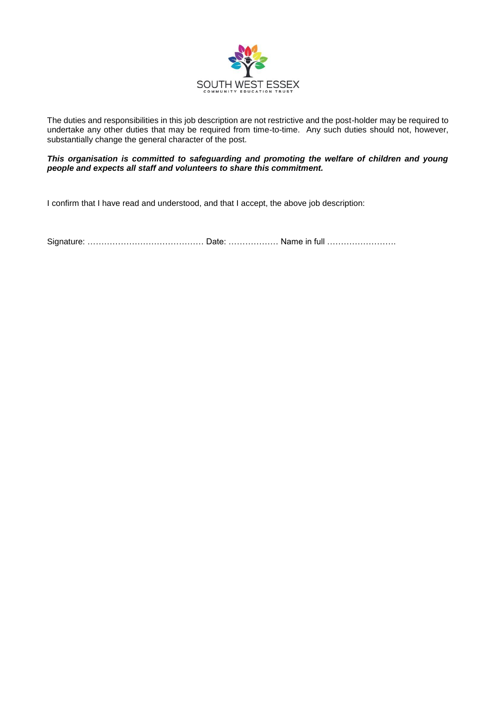

The duties and responsibilities in this job description are not restrictive and the post-holder may be required to undertake any other duties that may be required from time-to-time. Any such duties should not, however, substantially change the general character of the post.

*This organisation is committed to safeguarding and promoting the welfare of children and young people and expects all staff and volunteers to share this commitment.*

I confirm that I have read and understood, and that I accept, the above job description:

Signature: …………………………………… Date: ……………… Name in full …………………….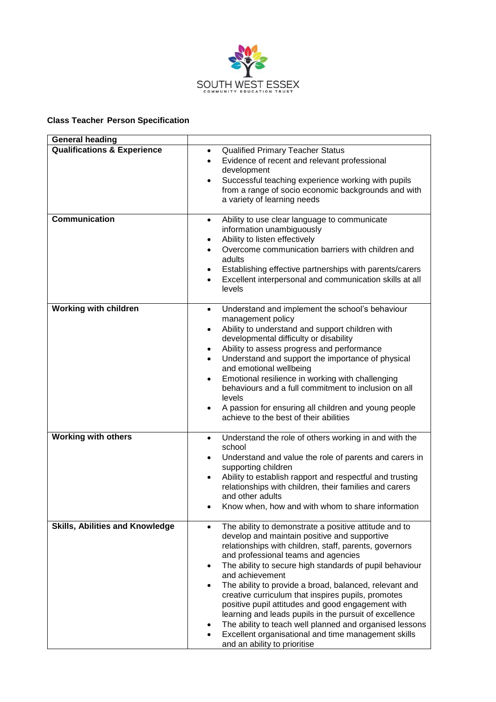

### **Class Teacher Person Specification**

| <b>General heading</b>                 |                                                                                                                                                                                                                                                                                                                                                                                                                                                                                                                                                                                                                                                                                                                   |
|----------------------------------------|-------------------------------------------------------------------------------------------------------------------------------------------------------------------------------------------------------------------------------------------------------------------------------------------------------------------------------------------------------------------------------------------------------------------------------------------------------------------------------------------------------------------------------------------------------------------------------------------------------------------------------------------------------------------------------------------------------------------|
| <b>Qualifications &amp; Experience</b> | <b>Qualified Primary Teacher Status</b><br>$\bullet$<br>Evidence of recent and relevant professional<br>$\bullet$<br>development<br>Successful teaching experience working with pupils<br>$\bullet$<br>from a range of socio economic backgrounds and with<br>a variety of learning needs                                                                                                                                                                                                                                                                                                                                                                                                                         |
| <b>Communication</b>                   | Ability to use clear language to communicate<br>$\bullet$<br>information unambiguously<br>Ability to listen effectively<br>$\bullet$<br>Overcome communication barriers with children and<br>adults<br>Establishing effective partnerships with parents/carers<br>٠<br>Excellent interpersonal and communication skills at all<br>levels                                                                                                                                                                                                                                                                                                                                                                          |
| <b>Working with children</b>           | Understand and implement the school's behaviour<br>$\bullet$<br>management policy<br>Ability to understand and support children with<br>$\bullet$<br>developmental difficulty or disability<br>Ability to assess progress and performance<br>٠<br>Understand and support the importance of physical<br>and emotional wellbeing<br>Emotional resilience in working with challenging<br>$\bullet$<br>behaviours and a full commitment to inclusion on all<br>levels<br>A passion for ensuring all children and young people<br>achieve to the best of their abilities                                                                                                                                               |
| <b>Working with others</b>             | Understand the role of others working in and with the<br>$\bullet$<br>school<br>Understand and value the role of parents and carers in<br>$\bullet$<br>supporting children<br>Ability to establish rapport and respectful and trusting<br>$\bullet$<br>relationships with children, their families and carers<br>and other adults<br>Know when, how and with whom to share information                                                                                                                                                                                                                                                                                                                            |
| <b>Skills, Abilities and Knowledge</b> | The ability to demonstrate a positive attitude and to<br>$\bullet$<br>develop and maintain positive and supportive<br>relationships with children, staff, parents, governors<br>and professional teams and agencies<br>The ability to secure high standards of pupil behaviour<br>$\bullet$<br>and achievement<br>The ability to provide a broad, balanced, relevant and<br>$\bullet$<br>creative curriculum that inspires pupils, promotes<br>positive pupil attitudes and good engagement with<br>learning and leads pupils in the pursuit of excellence<br>The ability to teach well planned and organised lessons<br>٠<br>Excellent organisational and time management skills<br>and an ability to prioritise |